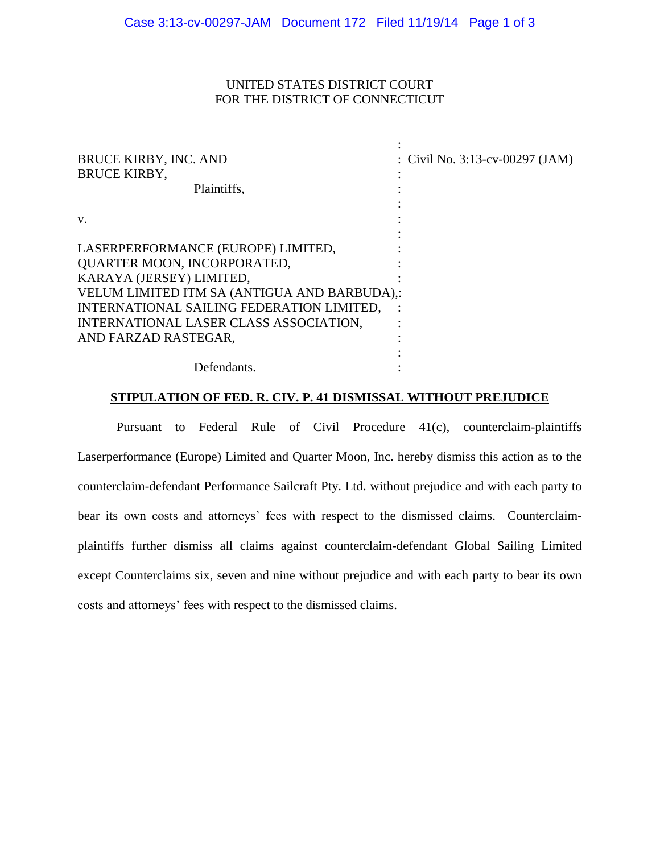## UNITED STATES DISTRICT COURT FOR THE DISTRICT OF CONNECTICUT

| <b>BRUCE KIRBY, INC. AND</b><br><b>BRUCE KIRBY,</b> | : Civil No. $3:13$ -cv-00297 (JAM) |
|-----------------------------------------------------|------------------------------------|
| Plaintiffs,                                         |                                    |
|                                                     |                                    |
| V.                                                  |                                    |
| LASERPERFORMANCE (EUROPE) LIMITED,                  |                                    |
| <b>QUARTER MOON, INCORPORATED,</b>                  |                                    |
| KARAYA (JERSEY) LIMITED,                            |                                    |
| VELUM LIMITED ITM SA (ANTIGUA AND BARBUDA),:        |                                    |
| INTERNATIONAL SAILING FEDERATION LIMITED,           |                                    |
| INTERNATIONAL LASER CLASS ASSOCIATION,              |                                    |
| AND FARZAD RASTEGAR,                                |                                    |
|                                                     |                                    |
| Defendants.                                         |                                    |

## **STIPULATION OF FED. R. CIV. P. 41 DISMISSAL WITHOUT PREJUDICE**

Pursuant to Federal Rule of Civil Procedure 41(c), counterclaim-plaintiffs Laserperformance (Europe) Limited and Quarter Moon, Inc. hereby dismiss this action as to the counterclaim-defendant Performance Sailcraft Pty. Ltd. without prejudice and with each party to bear its own costs and attorneys' fees with respect to the dismissed claims. Counterclaimplaintiffs further dismiss all claims against counterclaim-defendant Global Sailing Limited except Counterclaims six, seven and nine without prejudice and with each party to bear its own costs and attorneys' fees with respect to the dismissed claims.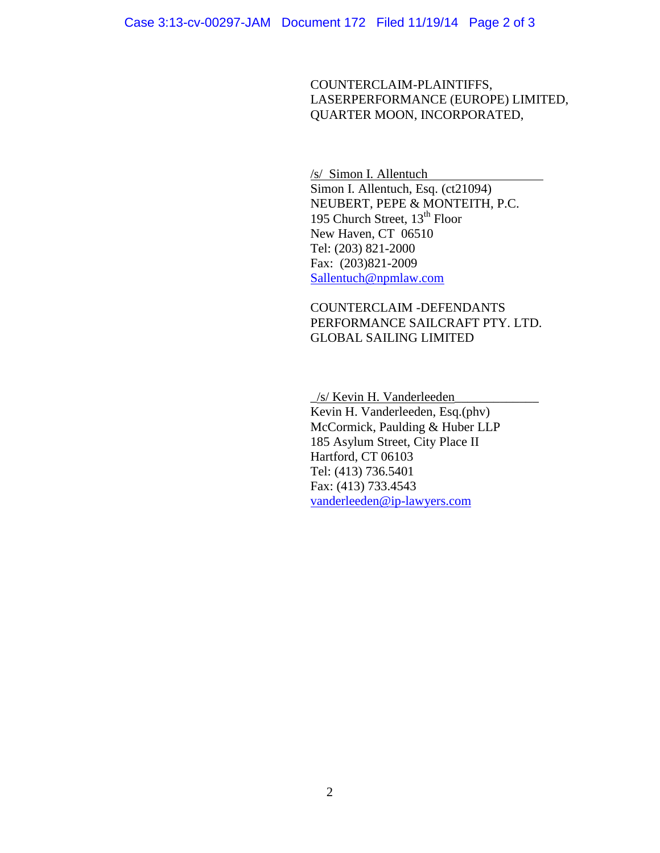COUNTERCLAIM-PLAINTIFFS, LASERPERFORMANCE (EUROPE) LIMITED, QUARTER MOON, INCORPORATED,

/s/ Simon I. Allentuch Simon I. Allentuch, Esq. (ct21094) NEUBERT, PEPE & MONTEITH, P.C. 195 Church Street, 13<sup>th</sup> Floor New Haven, CT 06510 Tel: (203) 821-2000 Fax: (203)821-2009 [Sallentuch@npmlaw.com](mailto:Sallentuch@npmlaw.com)

COUNTERCLAIM -DEFENDANTS PERFORMANCE SAILCRAFT PTY. LTD. GLOBAL SAILING LIMITED

\_/s/ Kevin H. Vanderleeden\_\_\_\_\_\_\_\_\_\_\_\_\_ Kevin H. Vanderleeden, Esq.(phv) McCormick, Paulding & Huber LLP 185 Asylum Street, City Place II Hartford, CT 06103 Tel: (413) 736.5401 Fax: (413) 733.4543 [vanderleeden@ip-lawyers.com](mailto:vanderleeden@ip-lawyers.com)